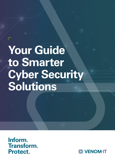# **Your Guide to Smarter Cyber Security Solutions**

**1 Venom IT.** Your Guide to Smarter Cyber Security Solutions

**Inform. Transform. Protect.**

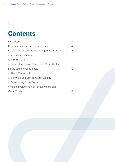# **Contents**

| Introduction                                      | 3 |
|---------------------------------------------------|---|
| How can cyber security services help?             | 4 |
| What do cyber security solutions protect against? | 5 |
| L Viruses and malware                             |   |
| $L$ Phishing emails                               |   |
| ∟ Distributued denial of service (DDos) attacks   |   |
| Fortify your company's data                       | 6 |
| L The DIY Approach                                |   |
| ∟ Software as a Service (Saas) Security           |   |
| <b>L</b> Outsourcing Cyber Security               |   |
| When to implement cyber security solutions        |   |
| <b>Get in Touch</b>                               | 8 |

 $\Box$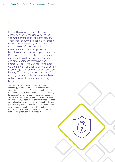It feels like every other month a new company hits the headlines after falling victim to a cyber attack or a data breach. Their cyber security solutions aren't strong enough and, as a result, their data has been compromised. Customers and service users heave a collective sigh as the data breach warning email pops up in their inbox. Passwords need to be changed, in severe cases bank details are rendered insecure, and email addresses may have been shared. Great. More junk mail from made up distant relatives offering billions of dollars in exchange for your immortal soul and your identity. The damage is done and there's nothing they can do but hope for the best. At least some of the scam emails might be funny.

The reality is that cyber attacks are becoming increasingly sophisticated. Most businesses don't only suffer loss in terms of customer confidence and reputation. They can lose product data and, particularly for those in the financial sector, money and accounts can be taken. According to Ponemon Institute's State of Cybersecurity Report, 66% of small to medium-sized enterprises have experienced a cyber attack in the last year. 45% say that their detection and response systems are not good enough to mitigate the effects of cyber threats. And 69% agree that these security threats are becoming more and more targeted.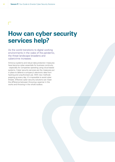### **How can cyber security services help?**

As the world transitions to digital working environments in the wake of the pandemic, the threat landscape broadens and cybercrime increases.

Antivirus systems and robust data protection measures have become cyber essentials for business continuity - especially for companies operating using cloud based systems. Cyber security services are the measures put in place to defend a company's electronic data from hacking and unauthorised use. With new methods popping up every day, it's impossible to avoid cyber threats. Effective cyber security solutions can mean the difference between throwing a spanner in the works and throwing in the whole toolbox.

 $\mathbf{L}$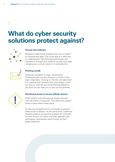## **What do cyber security solutions protect against?**



### **Viruses and malware**

Attackers install these programmes onto a system to compromise data. This could lead to a data loss or a data breach. Ransomware techniques use malware to encrypt your ability to access your data, charging you a virtual 'ransom' to reinstate this.



### **Phishing emails**

These are prevalent in larger corporations. Phishing emails can ask workers to confirm their login credentials. Clicking on this link will take them to a website that harvests their information. Catch our blog on internet and email filtering (MaaS) to see how we can help you to fish out the phishes.



### **Distributed denial of service (DDoS) attacks**

DDoS attacks will overload a business network with site traffic or requests. This slows the system while a cyber attack takes place.

An antivirus programme is not enough to prevent these kinds of attacks. At the same time, traditional firewall systems are becoming easier for criminals to work around. As cyber criminals upgrade their techniques, businesses need to build up their digital defences.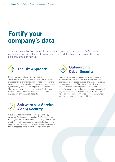# **Fortify your company's data**

There are several options when it comes to safeguarding your system. We've provided our top tips and tricks for small businesses here, and the three main approaches can be summarised as follows:



Most large corporations will have their own IT departments made up of tech wizards. These teams are responsible for maintaining business continuity and preventing security breaches. In-house teams approach cyber security from a knowledgeable perspective. They know how the business operates. But for most small and medium-sized enterprises, an in-house IT department isn't financially feasible.



Here, a trained team of specialists is outsourced to act as your own personal team of IT geniuses. No salaries, no office space needed, and no need to stock up on tea and coffee. They work externally to manage your company's internal systems. We recommend going for a company that has been properly accredited to governmental cyber security standards. Venom IT holds a host of shiny certificates so, of course, what we really recommend is going with us.



### **Software as a Service (SaaS) Security**

Cloud based solutions are becoming increasingly prevalent. Businesses can obtain a SaaS subscription for a regular fee to obtain cyber security systems via the cloud. The system provider works in the background to improve their services, combatting developments in the threat landscape while you get on with your work.